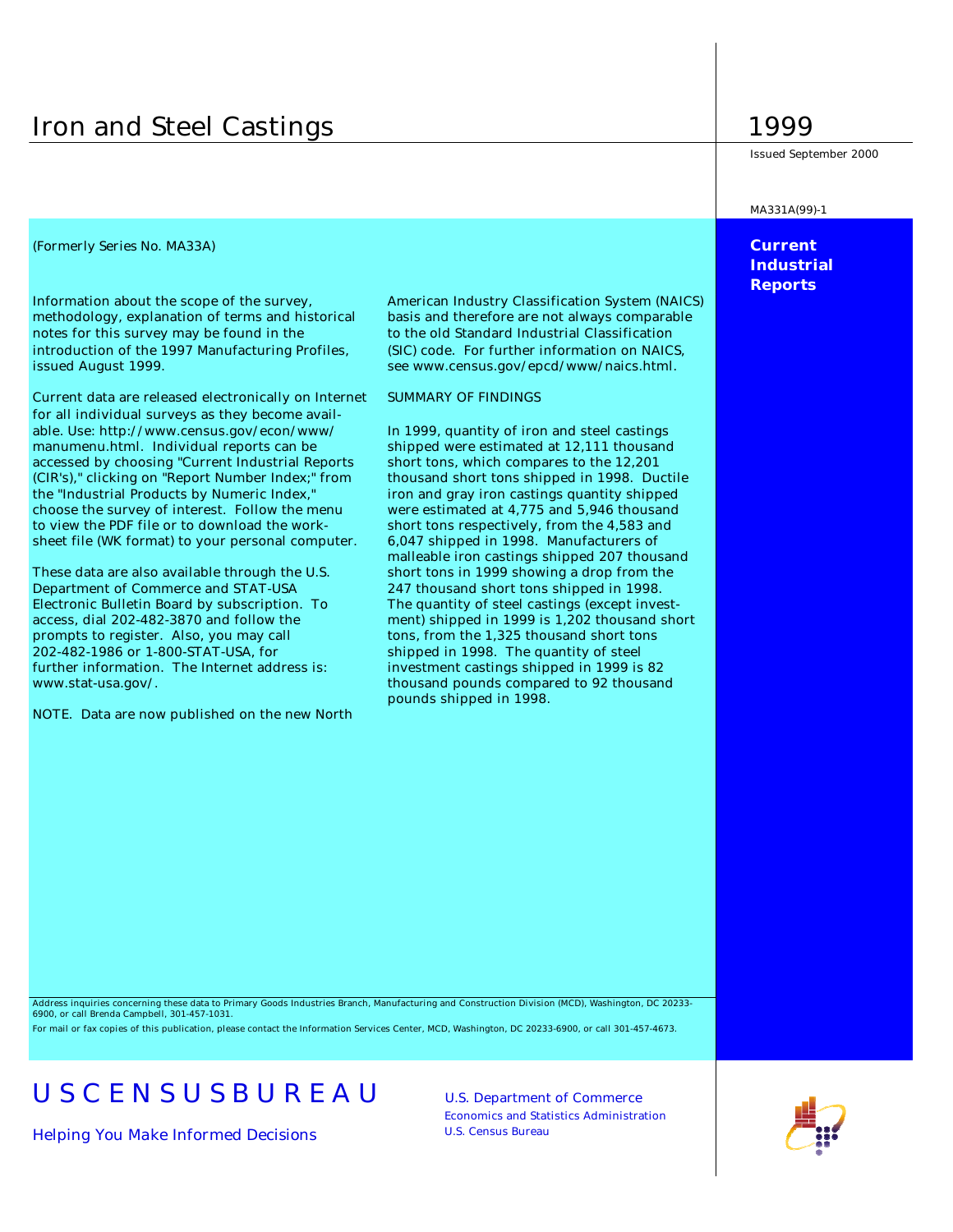## Iron and Steel Castings 1999

### *(Formerly Series No. MA33A)* **Current**

methodology, explanation of terms and historical basis and therefore are not always comparable notes for this survey may be found in the to the old Standard Industrial Classification introduction of the 1997 Manufacturing Profiles, (SIC) code. For further information on NAICS, issued August 1999. see www.census.gov/epcd/www/naics.html.

Current data are released electronically on Internet SUMMARY OF FINDINGS for all individual surveys as they become available. Use: http://www.census.gov/econ/www/ In 1999, quantity of iron and steel castings manumenu.html. Individual reports can be shipped were estimated at 12,111 thousand accessed by choosing "Current Industrial Reports short tons, which compares to the 12,201 (CIR's)," clicking on "Report Number Index;" from thousand short tons shipped in 1998. Ductile the "Industrial Products by Numeric Index," iron and gray iron castings quantity shipped choose the survey of interest. Follow the menu were estimated at 4,775 and 5,946 thousand to view the PDF file or to download the work- short tons respectively, from the 4,583 and sheet file (WK format) to your personal computer. 6,047 shipped in 1998. Manufacturers of

Department of Commerce and STAT-USA 247 thousand short tons shipped in 1998. Electronic Bulletin Board by subscription. To The quantity of steel castings (except investaccess, dial 202-482-3870 and follow the ment) shipped in 1999 is 1,202 thousand short prompts to register. Also, you may call tons, from the 1,325 thousand short tons 202-482-1986 or 1-800-STAT-USA, for shipped in 1998. The quantity of steel further information. The Internet address is: investment castings shipped in 1999 is 82 www.stat-usa.gov/. thousand pounds compared to 92 thousand

NOTE. Data are now published on the new North

Information about the scope of the survey, American Industry Classification System (NAICS)

malleable iron castings shipped 207 thousand These data are also available through the U.S. short tons in 1999 showing a drop from the pounds shipped in 1998.

Issued September 2000

MA331A(99)-1

**Industrial Reports**

Address inquiries concerning these data to Primary Goods Industries Branch, Manufacturing and Construction Division (MCD), Washington, DC 20233- 6900, or call Brenda Campbell, 301-457-1031. For mail or fax copies of this publication, please contact the Information Services Center, MCD, Washington, DC 20233-6900, or call 301-457-4673.

# U S C E N S U S B U R E A U U.S. Department of Commerce

*Helping You Make Informed Decisions* U.S. Census Bureau

Economics and Statistics Administration

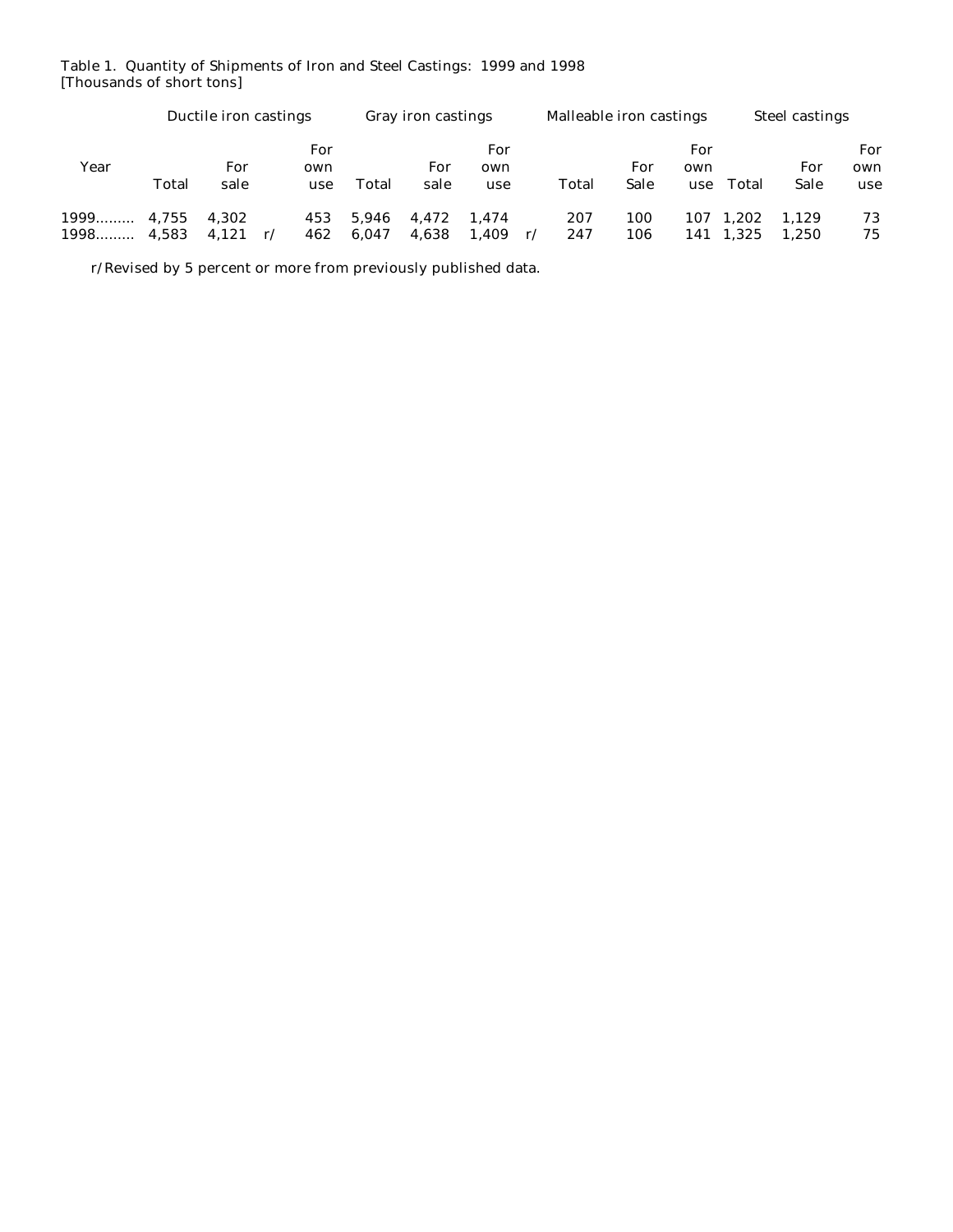### Table 1. Quantity of Shipments of Iron and Steel Castings: 1999 and 1998 [Thousands of short tons]

|      | Ductile iron castings |                |           | <b>Gray iron castings</b> |                |                | Malleable iron castings |    |            | <b>Steel castings</b> |                   |                    |                |                   |
|------|-----------------------|----------------|-----------|---------------------------|----------------|----------------|-------------------------|----|------------|-----------------------|-------------------|--------------------|----------------|-------------------|
| Year | Total                 | For<br>sale    | own       | For<br>use                | Total          | For<br>sale    | For<br>own<br>use       |    | Total      | For<br>Sale           | For<br>own<br>use | Total              | For<br>Sale    | For<br>own<br>use |
| 1998 | 4.583                 | 4.302<br>4.121 | 462<br>r/ | 453                       | 5.946<br>6.047 | 4.472<br>4,638 | 1.474<br>1,409          | r/ | 207<br>247 | 100<br>106            | 107               | 1.202<br>141 1,325 | 1.129<br>1.250 | 73<br>75          |

r/Revised by 5 percent or more from previously published data.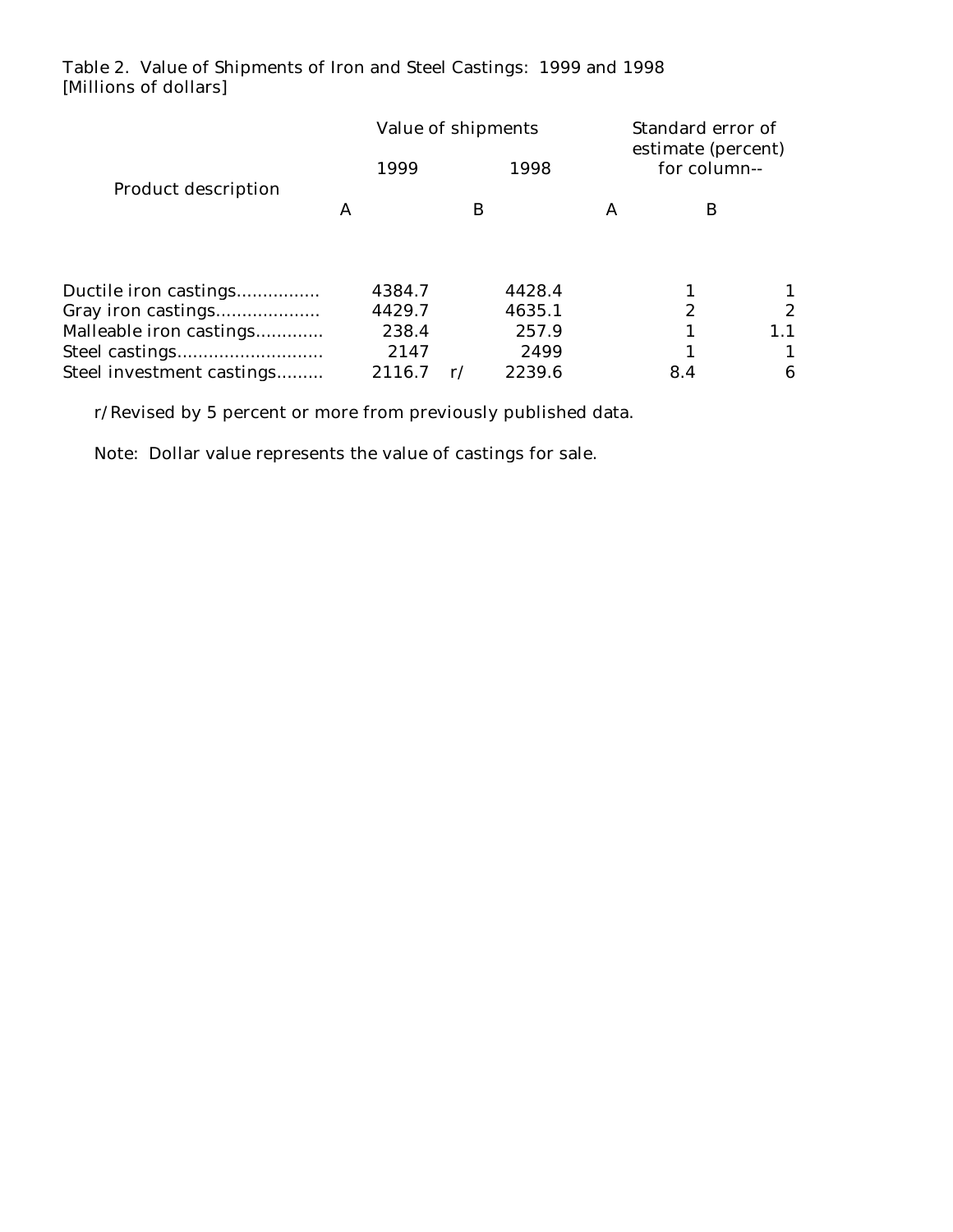## Table 2. Value of Shipments of Iron and Steel Castings: 1999 and 1998 [Millions of dollars]

|                            |        | Value of shipments      |  | Standard error of<br>estimate (percent) |                  |  |
|----------------------------|--------|-------------------------|--|-----------------------------------------|------------------|--|
|                            | 1999   | 1998<br>B               |  | for column--                            |                  |  |
| <b>Product description</b> | A      |                         |  | B                                       |                  |  |
| Ductile iron castings      | 4384.7 | 4428.4                  |  |                                         |                  |  |
| Gray iron castings         | 4429.7 | 4635.1                  |  | 2                                       | $\boldsymbol{2}$ |  |
| Malleable iron castings    | 238.4  | 257.9                   |  |                                         | 1.1              |  |
| Steel castings             | 2147   | 2499                    |  |                                         |                  |  |
| Steel investment castings  | 2116.7 | 2239.6<br>$\mathbf{r}/$ |  | 8.4                                     | 6                |  |

r/Revised by 5 percent or more from previously published data.

Note: Dollar value represents the value of castings for sale.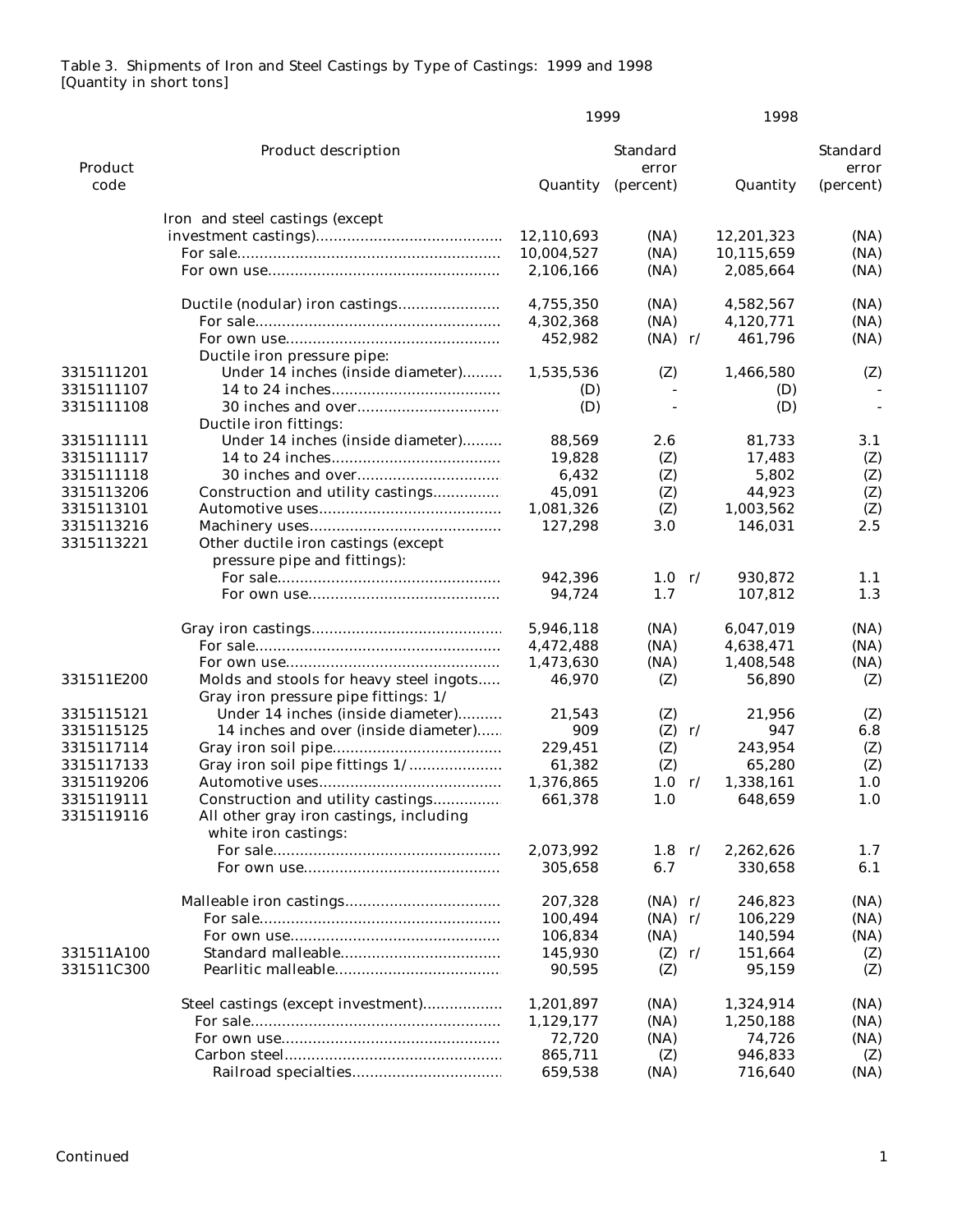## Table 3. Shipments of Iron and Steel Castings by Type of Castings: 1999 and 1998 [Quantity in short tons]

|            |                                                                     | 1999       |                          |               | 1998       |                          |
|------------|---------------------------------------------------------------------|------------|--------------------------|---------------|------------|--------------------------|
| Product    | <b>Product description</b>                                          |            | <b>Standard</b><br>error |               |            | <b>Standard</b><br>error |
| code       |                                                                     | Quantity   | (percent)                |               | Quantity   | (percent)                |
|            | Iron and steel castings (except                                     |            |                          |               |            |                          |
|            |                                                                     | 12,110,693 | (NA)                     |               | 12,201,323 | (NA)                     |
|            |                                                                     | 10,004,527 | (NA)                     |               | 10,115,659 | (NA)                     |
|            |                                                                     | 2,106,166  | (NA)                     |               | 2,085,664  | (NA)                     |
|            |                                                                     | 4,755,350  | (NA)                     |               | 4,582,567  | (NA)                     |
|            |                                                                     | 4,302,368  | (NA)                     |               | 4,120,771  | (NA)                     |
|            |                                                                     | 452,982    | $(NA)$ r/                |               | 461,796    | (NA)                     |
|            | Ductile iron pressure pipe:                                         |            |                          |               |            |                          |
| 3315111201 | Under 14 inches (inside diameter)                                   | 1,535,536  | (Z)                      |               | 1,466,580  | (Z)                      |
| 3315111107 |                                                                     | (D)        |                          |               | (D)        |                          |
| 3315111108 |                                                                     | (D)        |                          |               | (D)        | $\sim$                   |
|            | Ductile iron fittings:                                              |            |                          |               |            |                          |
| 3315111111 | Under 14 inches (inside diameter)                                   | 88,569     | 2.6                      |               | 81,733     | 3.1                      |
| 3315111117 |                                                                     | 19,828     | (Z)                      |               | 17,483     | (Z)                      |
| 3315111118 |                                                                     | 6,432      | (Z)                      |               | 5,802      | (Z)                      |
| 3315113206 | Construction and utility castings                                   | 45,091     | (Z)                      |               | 44,923     | (Z)                      |
| 3315113101 |                                                                     | 1,081,326  | (Z)                      |               | 1,003,562  | (Z)                      |
| 3315113216 |                                                                     | 127,298    | 3.0                      |               | 146,031    | 2.5                      |
| 3315113221 | Other ductile iron castings (except<br>pressure pipe and fittings): |            |                          |               |            |                          |
|            |                                                                     | 942,396    | 1.0 r/                   |               | 930,872    | 1.1                      |
|            |                                                                     | 94,724     | 1.7                      |               | 107,812    | 1.3                      |
|            |                                                                     | 5,946,118  | (NA)                     |               | 6,047,019  | (NA)                     |
|            |                                                                     | 4,472,488  | (NA)                     |               | 4,638,471  | (NA)                     |
|            |                                                                     | 1,473,630  | (NA)                     |               | 1,408,548  | (NA)                     |
| 331511E200 | Molds and stools for heavy steel ingots                             | 46,970     | (Z)                      |               | 56,890     | (Z)                      |
|            | Gray iron pressure pipe fittings: 1/                                |            |                          |               |            |                          |
| 3315115121 | Under 14 inches (inside diameter)                                   | 21,543     | (Z)                      |               | 21,956     | (Z)                      |
| 3315115125 | 14 inches and over (inside diameter)                                | 909        | <b>(Z)</b>               | r/            | 947        | 6.8                      |
| 3315117114 |                                                                     | 229,451    | (Z)                      |               | 243,954    | (Z)                      |
| 3315117133 | Gray iron soil pipe fittings 1/                                     | 61,382     | (Z)                      |               | 65,280     | (Z)                      |
| 3315119206 |                                                                     | 1,376,865  | 1.0                      | r/            | 1,338,161  | 1.0                      |
| 3315119111 | Construction and utility castings                                   | 661,378    | 1.0                      |               | 648,659    | 1.0                      |
| 3315119116 | All other gray iron castings, including<br>white iron castings:     |            |                          |               |            |                          |
|            |                                                                     | 2,073,992  | $1.8 \text{ r}$          |               | 2,262,626  | 1.7                      |
|            |                                                                     | 305,658    | 6.7                      |               | 330,658    | 6.1                      |
|            |                                                                     | 207,328    | $(NA)$ r/                |               | 246,823    | (NA)                     |
|            |                                                                     | 100,494    | (NA)                     | $\mathbf{r}/$ | 106,229    | (NA)                     |
|            |                                                                     | 106,834    | (NA)                     |               | 140,594    | (NA)                     |
| 331511A100 |                                                                     | 145,930    | (Z)                      | $\mathbf{r}$  | 151,664    | (Z)                      |
| 331511C300 |                                                                     | 90,595     | (Z)                      |               | 95,159     | (Z)                      |
|            | Steel castings (except investment)                                  | 1,201,897  | (NA)                     |               | 1,324,914  | (NA)                     |
|            |                                                                     | 1,129,177  | (NA)                     |               | 1,250,188  | (NA)                     |
|            |                                                                     | 72,720     | (NA)                     |               | 74,726     | (NA)                     |
|            |                                                                     | 865,711    | (Z)                      |               | 946,833    | (Z)                      |
|            |                                                                     | 659,538    | (NA)                     |               | 716,640    | (NA)                     |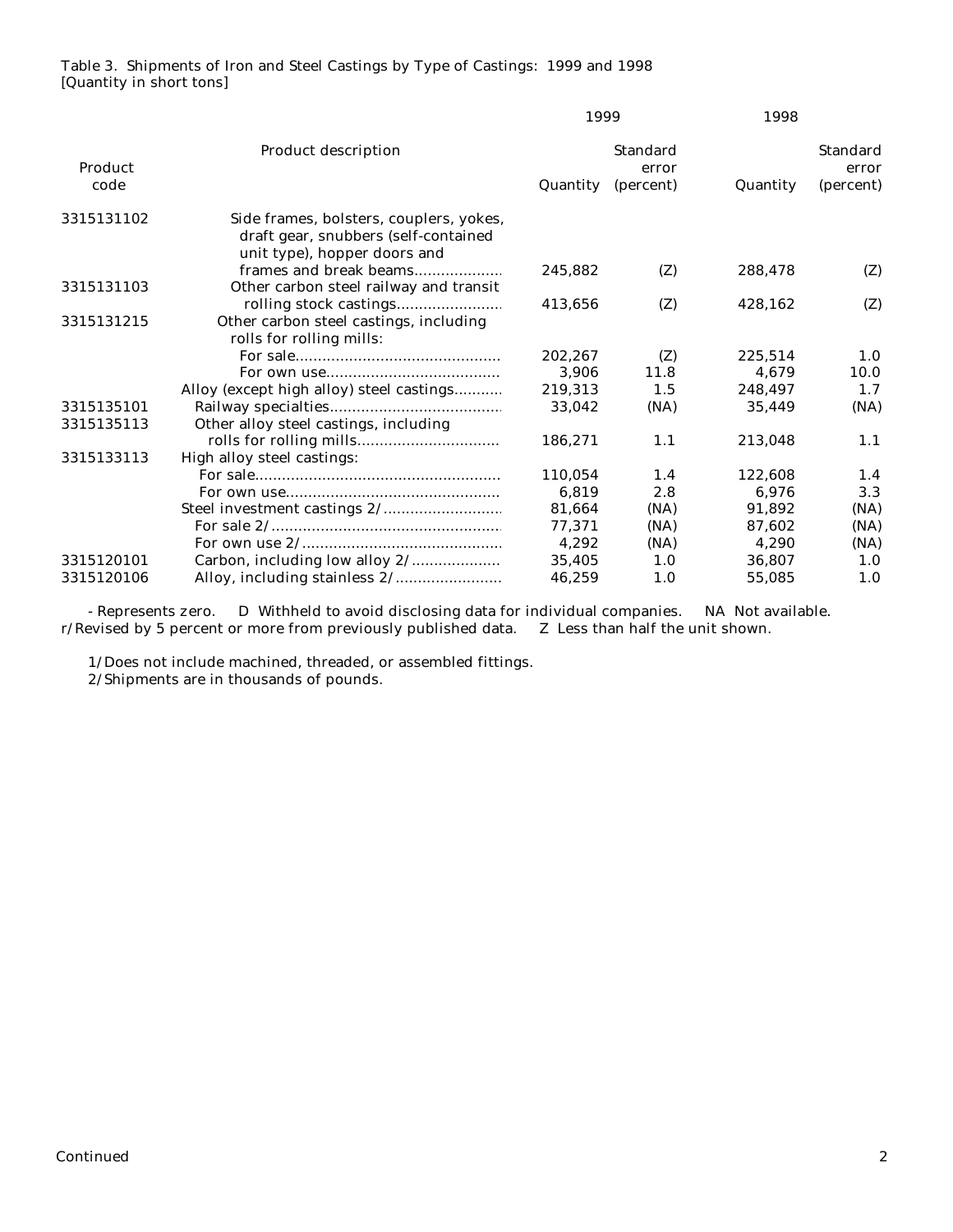## Table 3. Shipments of Iron and Steel Castings by Type of Castings: 1999 and 1998 [Quantity in short tons]

|                 |                                                                                                                 | 1999     |                                       | 1998     |                                       |
|-----------------|-----------------------------------------------------------------------------------------------------------------|----------|---------------------------------------|----------|---------------------------------------|
| Product<br>code | <b>Product description</b>                                                                                      | Quantity | <b>Standard</b><br>error<br>(percent) | Quantity | <b>Standard</b><br>error<br>(percent) |
| 3315131102      | Side frames, bolsters, couplers, yokes,<br>draft gear, snubbers (self-contained<br>unit type), hopper doors and |          |                                       |          |                                       |
| 3315131103      | frames and break beams<br>Other carbon steel railway and transit                                                | 245.882  | (Z)                                   | 288,478  | (Z)                                   |
|                 |                                                                                                                 | 413,656  | (Z)                                   | 428,162  | (Z)                                   |
| 3315131215      | Other carbon steel castings, including<br>rolls for rolling mills:                                              |          |                                       |          |                                       |
|                 |                                                                                                                 | 202.267  | (Z)                                   | 225,514  | 1.0                                   |
|                 |                                                                                                                 | 3,906    | 11.8                                  | 4.679    | 10.0                                  |
|                 | Alloy (except high alloy) steel castings                                                                        | 219,313  | 1.5                                   | 248,497  | 1.7                                   |
| 3315135101      |                                                                                                                 | 33,042   | (NA)                                  | 35,449   | (NA)                                  |
| 3315135113      | Other alloy steel castings, including                                                                           |          |                                       |          |                                       |
|                 |                                                                                                                 | 186,271  | 1.1                                   | 213,048  | 1.1                                   |
| 3315133113      | High alloy steel castings:                                                                                      |          |                                       |          |                                       |
|                 |                                                                                                                 | 110.054  | 1.4                                   | 122.608  | 1.4                                   |
|                 |                                                                                                                 | 6,819    | 2.8                                   | 6,976    | 3.3                                   |
|                 |                                                                                                                 | 81,664   | (NA)                                  | 91.892   | (NA)                                  |
|                 |                                                                                                                 | 77,371   | (NA)                                  | 87,602   | (NA)                                  |
|                 |                                                                                                                 | 4,292    | (NA)                                  | 4.290    | (NA)                                  |
| 3315120101      |                                                                                                                 | 35,405   | 1.0                                   | 36,807   | 1.0                                   |
| 3315120106      |                                                                                                                 | 46,259   | 1.0                                   | 55,085   | 1.0                                   |

 - Represents zero. D Withheld to avoid disclosing data for individual companies. NA Not available. r/Revised by 5 percent or more from previously published data. Z Less than half the unit shown.

 1/Does not include machined, threaded, or assembled fittings. 2/Shipments are in thousands of pounds.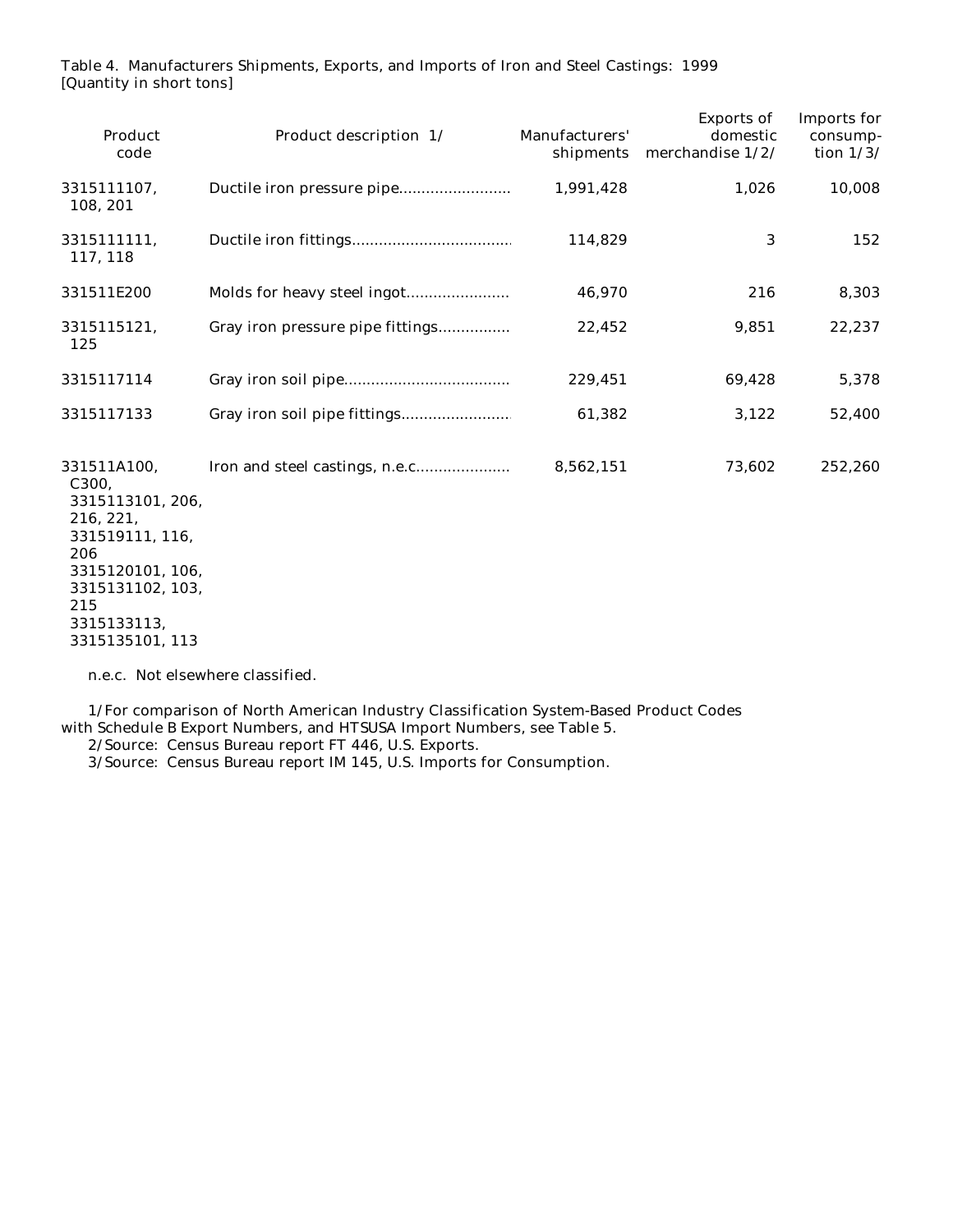Table 4. Manufacturers Shipments, Exports, and Imports of Iron and Steel Castings: 1999 [Quantity in short tons]

|                                  |           |        | tion $1/3/$ |
|----------------------------------|-----------|--------|-------------|
|                                  | 1,991,428 | 1,026  | 10,008      |
|                                  | 114,829   | 3      | 152         |
|                                  | 46,970    | 216    | 8,303       |
| Gray iron pressure pipe fittings | 22,452    | 9,851  | 22,237      |
|                                  | 229,451   | 69,428 | 5,378       |
|                                  | 61,382    | 3,122  | 52,400      |
|                                  | 8,562,151 | 73,602 | 252,260     |
|                                  |           |        |             |

n.e.c. Not elsewhere classified.

 1/For comparison of North American Industry Classification System-Based Product Codes with Schedule B Export Numbers, and HTSUSA Import Numbers, see Table 5.

2/Source: Census Bureau report FT 446, U.S. Exports.

3/Source: Census Bureau report IM 145, U.S. Imports for Consumption.